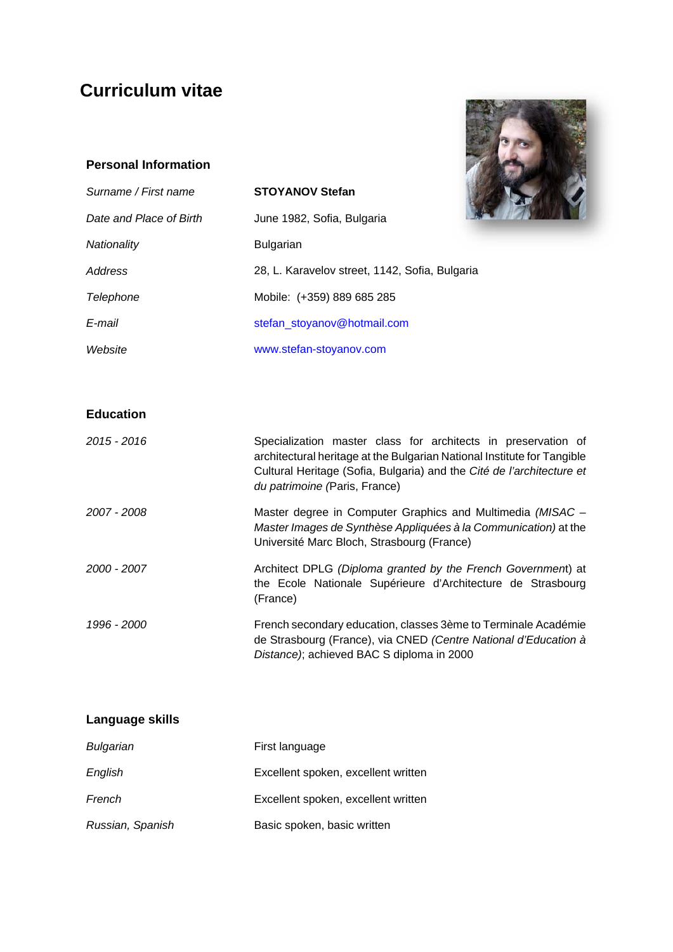# **Curriculum vitae**

### **Personal Information**

| <b>Personal Information</b> |                                                |  |
|-----------------------------|------------------------------------------------|--|
| Surname / First name        | <b>STOYANOV Stefan</b>                         |  |
| Date and Place of Birth     | June 1982, Sofia, Bulgaria                     |  |
| Nationality                 | <b>Bulgarian</b>                               |  |
| Address                     | 28, L. Karavelov street, 1142, Sofia, Bulgaria |  |
| <b>Telephone</b>            | Mobile: (+359) 889 685 285                     |  |
| E-mail                      | stefan_stoyanov@hotmail.com                    |  |
| Website                     | www.stefan-stoyanov.com                        |  |

#### **Education**

| 2015 - 2016 | Specialization master class for architects in preservation of<br>architectural heritage at the Bulgarian National Institute for Tangible<br>Cultural Heritage (Sofia, Bulgaria) and the Cité de l'architecture et<br>du patrimoine (Paris, France) |
|-------------|----------------------------------------------------------------------------------------------------------------------------------------------------------------------------------------------------------------------------------------------------|
| 2007 - 2008 | Master degree in Computer Graphics and Multimedia (MISAC -<br>Master Images de Synthèse Appliquées à la Communication) at the<br>Université Marc Bloch, Strasbourg (France)                                                                        |
| 2000 - 2007 | Architect DPLG (Diploma granted by the French Government) at<br>the Ecole Nationale Supérieure d'Architecture de Strasbourg<br>(France)                                                                                                            |
| 1996 - 2000 | French secondary education, classes 3ème to Terminale Académie<br>de Strasbourg (France), via CNED (Centre National d'Education à<br>Distance); achieved BAC S diploma in 2000                                                                     |

| Language skills  |                                     |
|------------------|-------------------------------------|
| Bulgarian        | First language                      |
| English          | Excellent spoken, excellent written |
| French           | Excellent spoken, excellent written |
| Russian, Spanish | Basic spoken, basic written         |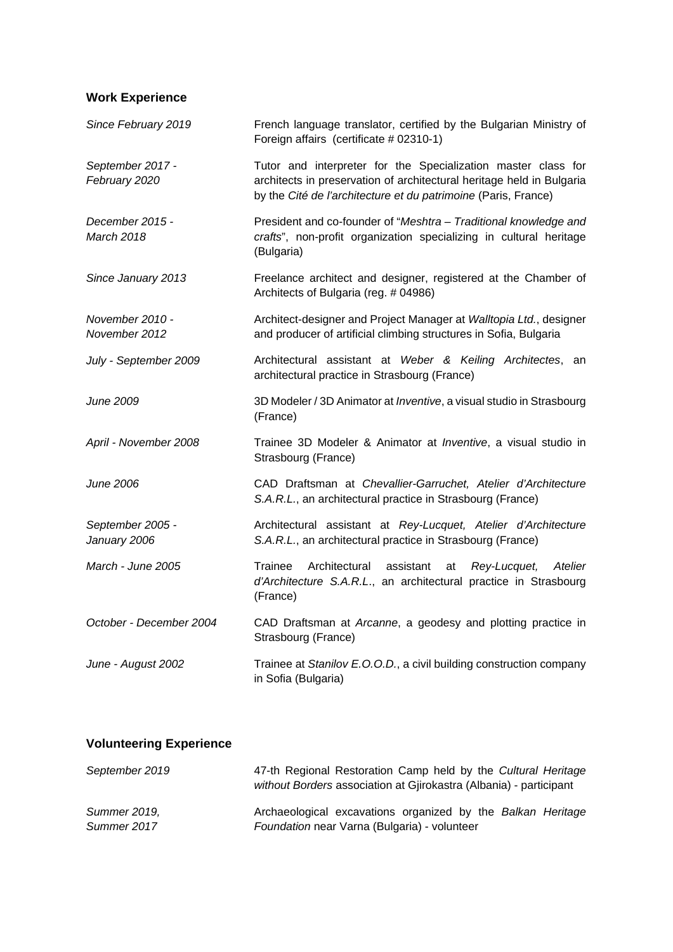## **Work Experience**

| Since February 2019                  | French language translator, certified by the Bulgarian Ministry of<br>Foreign affairs (certificate # 02310-1)                                                                                            |
|--------------------------------------|----------------------------------------------------------------------------------------------------------------------------------------------------------------------------------------------------------|
| September 2017 -<br>February 2020    | Tutor and interpreter for the Specialization master class for<br>architects in preservation of architectural heritage held in Bulgaria<br>by the Cité de l'architecture et du patrimoine (Paris, France) |
| December 2015 -<br><b>March 2018</b> | President and co-founder of "Meshtra - Traditional knowledge and<br>crafts", non-profit organization specializing in cultural heritage<br>(Bulgaria)                                                     |
| Since January 2013                   | Freelance architect and designer, registered at the Chamber of<br>Architects of Bulgaria (reg. # 04986)                                                                                                  |
| November 2010 -<br>November 2012     | Architect-designer and Project Manager at Walltopia Ltd., designer<br>and producer of artificial climbing structures in Sofia, Bulgaria                                                                  |
| July - September 2009                | Architectural assistant at Weber & Keiling Architectes, an<br>architectural practice in Strasbourg (France)                                                                                              |
| June 2009                            | 3D Modeler / 3D Animator at <i>Inventive</i> , a visual studio in Strasbourg<br>(France)                                                                                                                 |
| April - November 2008                | Trainee 3D Modeler & Animator at <i>Inventive</i> , a visual studio in<br>Strasbourg (France)                                                                                                            |
| June 2006                            | CAD Draftsman at Chevallier-Garruchet, Atelier d'Architecture<br>S.A.R.L., an architectural practice in Strasbourg (France)                                                                              |
| September 2005 -<br>January 2006     | Architectural assistant at Rey-Lucquet, Atelier d'Architecture<br>S.A.R.L., an architectural practice in Strasbourg (France)                                                                             |
| <i>March - June 2005</i>             | Trainee<br>Architectural<br>assistant<br>Rey-Lucquet,<br>Atelier<br>at<br>d'Architecture S.A.R.L., an architectural practice in Strasbourg<br>(France)                                                   |
| October - December 2004              | CAD Draftsman at Arcanne, a geodesy and plotting practice in<br>Strasbourg (France)                                                                                                                      |
| June - August 2002                   | Trainee at Stanilov E.O.O.D., a civil building construction company<br>in Sofia (Bulgaria)                                                                                                               |

## **Volunteering Experience**

| September 2019 | 47-th Regional Restoration Camp held by the Cultural Heritage      |
|----------------|--------------------------------------------------------------------|
|                | without Borders association at Gjirokastra (Albania) - participant |
| Summer 2019.   | Archaeological excavations organized by the Balkan Heritage        |
| Summer 2017    | Foundation near Varna (Bulgaria) - volunteer                       |